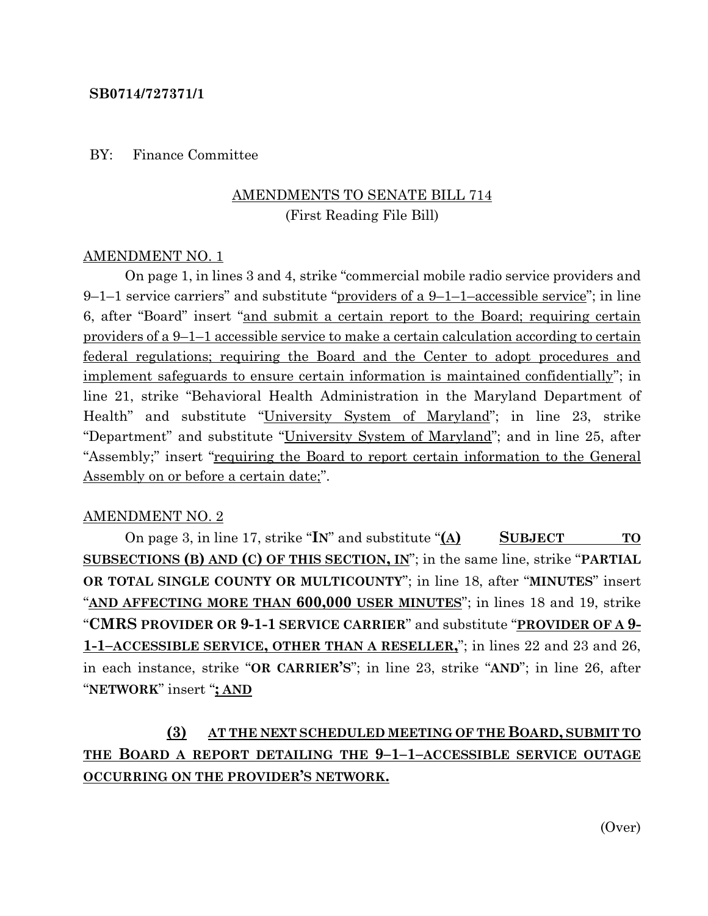### **SB0714/727371/1**

### BY: Finance Committee

## AMENDMENTS TO SENATE BILL 714 (First Reading File Bill)

#### AMENDMENT NO. 1

On page 1, in lines 3 and 4, strike "commercial mobile radio service providers and  $9-1-1$  service carriers" and substitute "providers of a  $9-1-1$ -accessible service"; in line 6, after "Board" insert "and submit a certain report to the Board; requiring certain providers of a 9–1–1 accessible service to make a certain calculation according to certain federal regulations; requiring the Board and the Center to adopt procedures and implement safeguards to ensure certain information is maintained confidentially"; in line 21, strike "Behavioral Health Administration in the Maryland Department of Health" and substitute "University System of Maryland"; in line 23, strike "Department" and substitute "University System of Maryland"; and in line 25, after "Assembly;" insert "<u>requiring the Board to report certain information to the General</u> Assembly on or before a certain date;".

### AMENDMENT NO. 2

On page 3, in line 17, strike "**IN**" and substitute "**(A) SUBJECT TO SUBSECTIONS (B) AND (C) OF THIS SECTION, IN**"; in the same line, strike "**PARTIAL OR TOTAL SINGLE COUNTY OR MULTICOUNTY**"; in line 18, after "**MINUTES**" insert "**AND AFFECTING MORE THAN 600,000 USER MINUTES**"; in lines 18 and 19, strike "**CMRS PROVIDER OR 9-1-1 SERVICE CARRIER**" and substitute "**PROVIDER OF A 9- 1-1–ACCESSIBLE SERVICE, OTHER THAN A RESELLER,**"; in lines 22 and 23 and 26, in each instance, strike "**OR CARRIER'S**"; in line 23, strike "**AND**"; in line 26, after "**NETWORK**" insert "**; AND**

## **(3) AT THE NEXT SCHEDULED MEETING OF THE BOARD, SUBMIT TO THE BOARD A REPORT DETAILING THE 9–1–1–ACCESSIBLE SERVICE OUTAGE OCCURRING ON THE PROVIDER'S NETWORK.**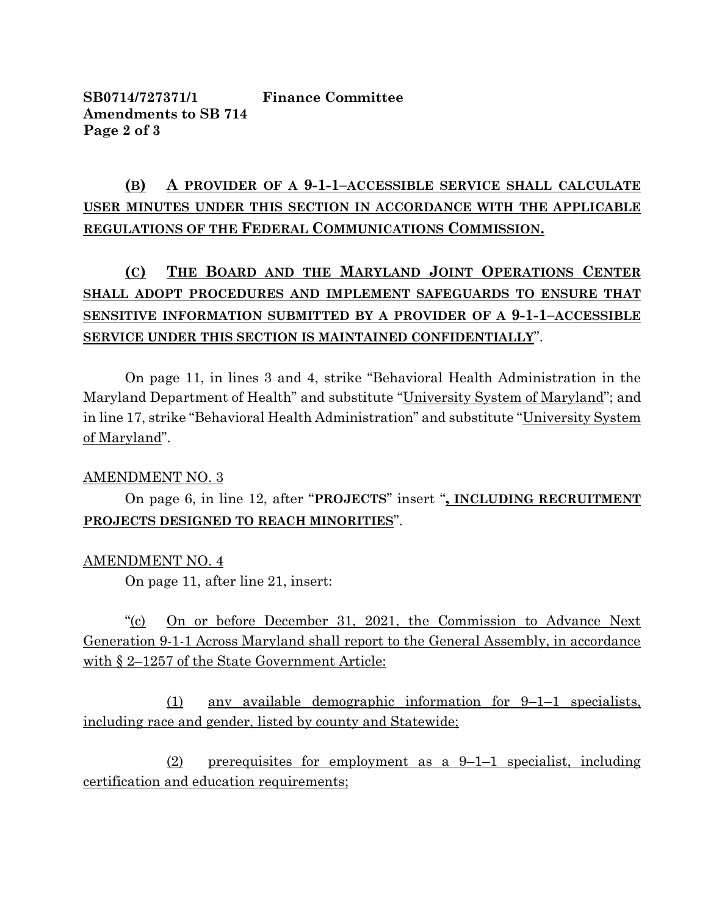**SB0714/727371/1 Finance Committee Amendments to SB 714 Page 2 of 3**

## **(B) A PROVIDER OF A 9-1-1–ACCESSIBLE SERVICE SHALL CALCULATE USER MINUTES UNDER THIS SECTION IN ACCORDANCE WITH THE APPLICABLE REGULATIONS OF THE FEDERAL COMMUNICATIONS COMMISSION.**

# **(C) THE BOARD AND THE MARYLAND JOINT OPERATIONS CENTER SHALL ADOPT PROCEDURES AND IMPLEMENT SAFEGUARDS TO ENSURE THAT SENSITIVE INFORMATION SUBMITTED BY A PROVIDER OF A 9-1-1–ACCESSIBLE SERVICE UNDER THIS SECTION IS MAINTAINED CONFIDENTIALLY**".

On page 11, in lines 3 and 4, strike "Behavioral Health Administration in the Maryland Department of Health" and substitute "University System of Maryland"; and in line 17, strike "Behavioral Health Administration" and substitute "University System of Maryland".

## AMENDMENT NO. 3

On page 6, in line 12, after "**PROJECTS**" insert "**, INCLUDING RECRUITMENT PROJECTS DESIGNED TO REACH MINORITIES**".

### AMENDMENT NO. 4

On page 11, after line 21, insert:

"(c) On or before December 31, 2021, the Commission to Advance Next Generation 9-1-1 Across Maryland shall report to the General Assembly, in accordance with § 2–1257 of the State Government Article:

(1) any available demographic information for 9–1–1 specialists, including race and gender, listed by county and Statewide;

(2) prerequisites for employment as a 9–1–1 specialist, including certification and education requirements;